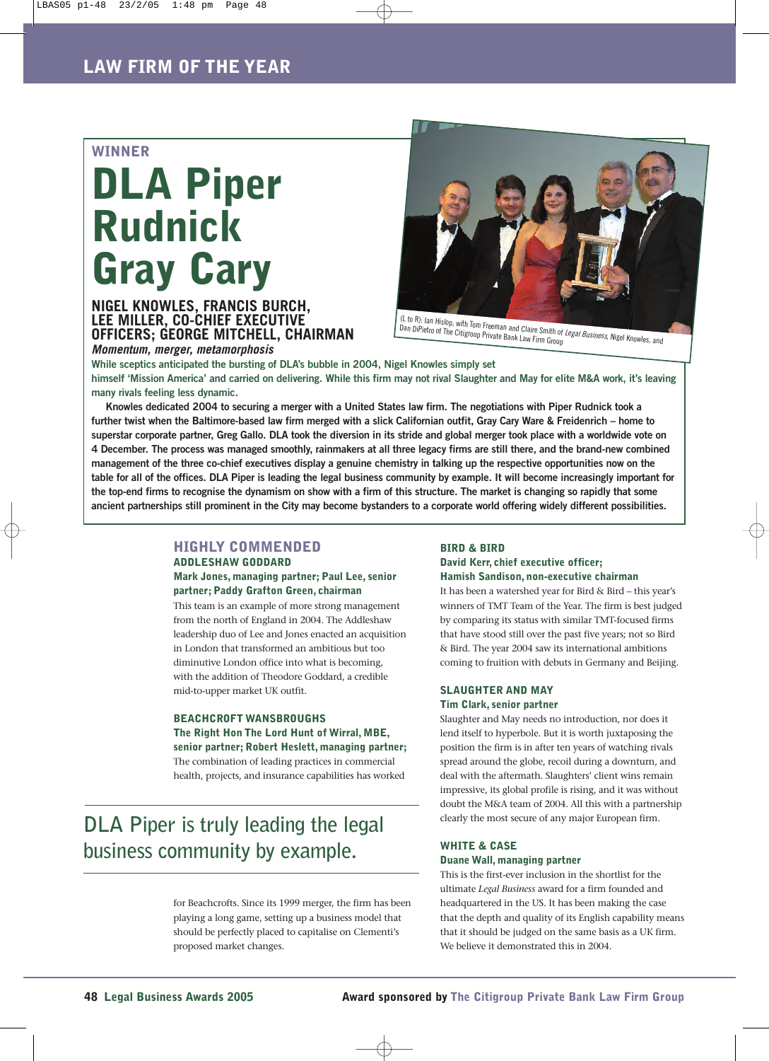## **WINNER**

# **DLA Piper Rudnick Gray Cary**

# **NIGEL KNOWLES, FRANCIS BURCH, LEE MILLER, CO-CHIEF EXECUTIVE OFFICERS; GEORGE MITCHELL, CHAIRMAN** *Momentum, merger, metamorphosis*



**While sceptics anticipated the bursting of DLA's bubble in 2004, Nigel Knowles simply set himself 'Mission America' and carried on delivering. While this firm may not rival Slaughter and May for elite M&A work, it's leaving many rivals feeling less dynamic.** 

**Knowles dedicated 2004 to securing a merger with a United States law firm. The negotiations with Piper Rudnick took a further twist when the Baltimore-based law firm merged with a slick Californian outfit, Gray Cary Ware & Freidenrich – home to superstar corporate partner, Greg Gallo. DLA took the diversion in its stride and global merger took place with a worldwide vote on 4 December. The process was managed smoothly, rainmakers at all three legacy firms are still there, and the brand-new combined management of the three co-chief executives display a genuine chemistry in talking up the respective opportunities now on the table for all of the offices. DLA Piper is leading the legal business community by example. It will become increasingly important for the top-end firms to recognise the dynamism on show with a firm of this structure. The market is changing so rapidly that some ancient partnerships still prominent in the City may become bystanders to a corporate world offering widely different possibilities.** 

# **HIGHLY COMMENDED**

# **ADDLESHAW GODDARD Mark Jones, managing partner; Paul Lee, senior partner; Paddy Grafton Green, chairman**

This team is an example of more strong management from the north of England in 2004. The Addleshaw leadership duo of Lee and Jones enacted an acquisition in London that transformed an ambitious but too diminutive London office into what is becoming, with the addition of Theodore Goddard, a credible mid-to-upper market UK outfit.

## **BEACHCROFT WANSBROUGHS The Right Hon The Lord Hunt of Wirral, MBE, senior partner; Robert Heslett, managing partner;**

The combination of leading practices in commercial health, projects, and insurance capabilities has worked

# **DLA Piper is truly leading the legal business community by example.**

for Beachcrofts. Since its 1999 merger, the firm has been playing a long game, setting up a business model that should be perfectly placed to capitalise on Clementi's proposed market changes.

#### **BIRD & BIRD**

#### **David Kerr, chief executive officer; Hamish Sandison, non-executive chairman**

It has been a watershed year for Bird & Bird – this year's winners of TMT Team of the Year. The firm is best judged by comparing its status with similar TMT-focused firms that have stood still over the past five years; not so Bird & Bird. The year 2004 saw its international ambitions coming to fruition with debuts in Germany and Beijing.

#### **SLAUGHTER AND MAY Tim Clark, senior partner**

Slaughter and May needs no introduction, nor does it lend itself to hyperbole. But it is worth juxtaposing the position the firm is in after ten years of watching rivals spread around the globe, recoil during a downturn, and deal with the aftermath. Slaughters' client wins remain impressive, its global profile is rising, and it was without doubt the M&A team of 2004. All this with a partnership clearly the most secure of any major European firm.

### **WHITE & CASE Duane Wall, managing partner**

This is the first-ever inclusion in the shortlist for the ultimate *Legal Business* award for a firm founded and headquartered in the US. It has been making the case that the depth and quality of its English capability means that it should be judged on the same basis as a UK firm. We believe it demonstrated this in 2004.